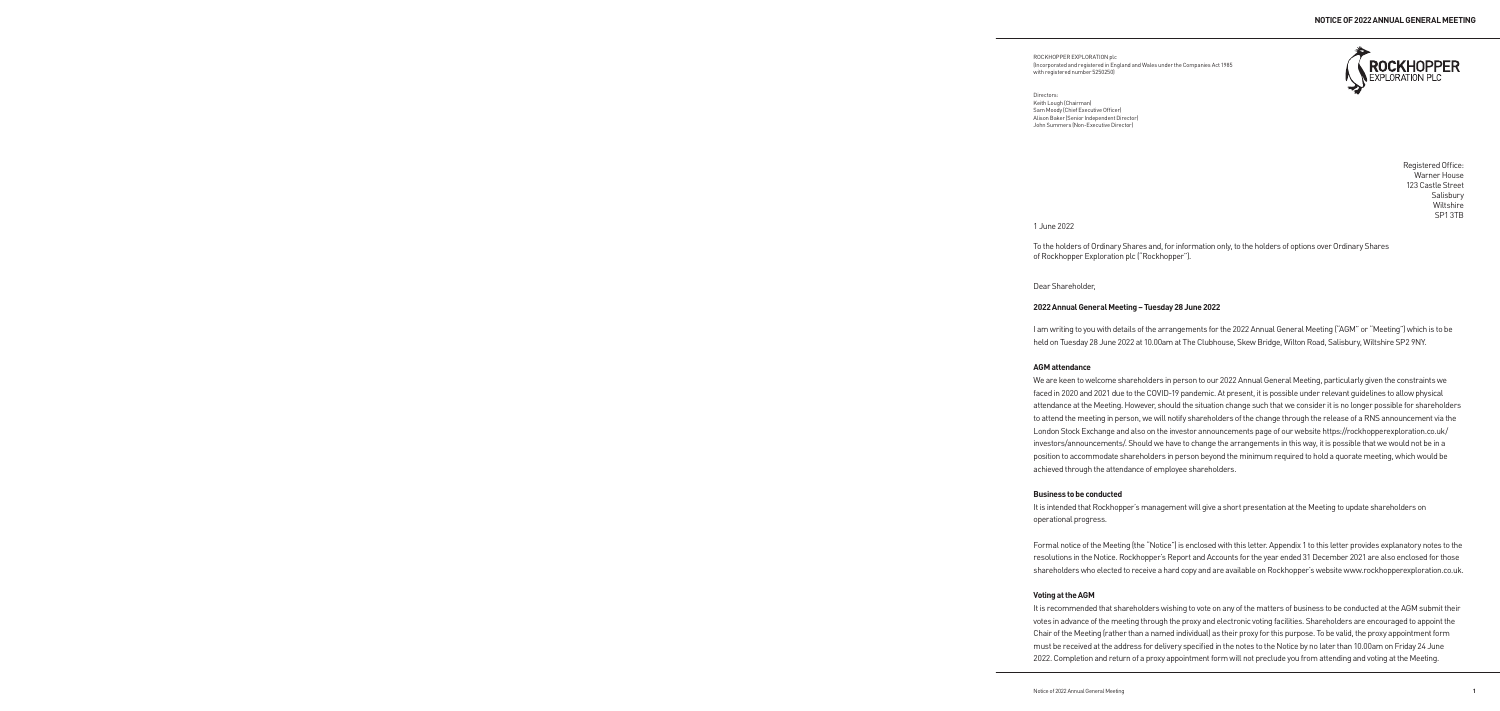ROCKHOPPER EXPLORATION plc (Incorporated and registered in England and Wales under the Companies Act 1985 with registered number 5250250)



Directors: Keith Lough (Chairman) Sam Moody (Chief Executive Officer) Alison Baker (Senior Independent Director) John Summers (Non-Executive Director)

> Registered Office: Warner House 123 Castle Street **Salisbury** Wiltshire SP1 3TB

1 June 2022

To the holders of Ordinary Shares and, for information only, to the holders of options over Ordinary Shares of Rockhopper Exploration plc ("Rockhopper").

Dear Shareholder,

# **2022 Annual General Meeting – Tuesday 28 June 2022**

I am writing to you with details of the arrangements for the 2022 Annual General Meeting ("AGM" or "Meeting") which is to be held on Tuesday 28 June 2022 at 10.00am at The Clubhouse, Skew Bridge, Wilton Road, Salisbury, Wiltshire SP2 9NY.

# **AGM attendance**

We are keen to welcome shareholders in person to our 2022 Annual General Meeting, particularly given the constraints we faced in 2020 and 2021 due to the COVID-19 pandemic. At present, it is possible under relevant guidelines to allow physical attendance at the Meeting. However, should the situation change such that we consider it is no longer possible for shareholders to attend the meeting in person, we will notify shareholders of the change through the release of a RNS announcement via the London Stock Exchange and also on the investor announcements page of our website https://rockhopperexploration.co.uk/ investors/announcements/. Should we have to change the arrangements in this way, it is possible that we would not be in a position to accommodate shareholders in person beyond the minimum required to hold a quorate meeting, which would be achieved through the attendance of employee shareholders.

# **Business to be conducted**

It is intended that Rockhopper's management will give a short presentation at the Meeting to update shareholders on operational progress.

Formal notice of the Meeting (the "Notice") is enclosed with this letter. Appendix 1 to this letter provides explanatory notes to the resolutions in the Notice. Rockhopper's Report and Accounts for the year ended 31 December 2021 are also enclosed for those shareholders who elected to receive a hard copy and are available on Rockhopper's website www.rockhopperexploration.co.uk.

# **Voting at the AGM**

It is recommended that shareholders wishing to vote on any of the matters of business to be conducted at the AGM submit their votes in advance of the meeting through the proxy and electronic voting facilities. Shareholders are encouraged to appoint the Chair of the Meeting (rather than a named individual) as their proxy for this purpose. To be valid, the proxy appointment form must be received at the address for delivery specified in the notes to the Notice by no later than 10.00am on Friday 24 June 2022. Completion and return of a proxy appointment form will not preclude you from attending and voting at the Meeting.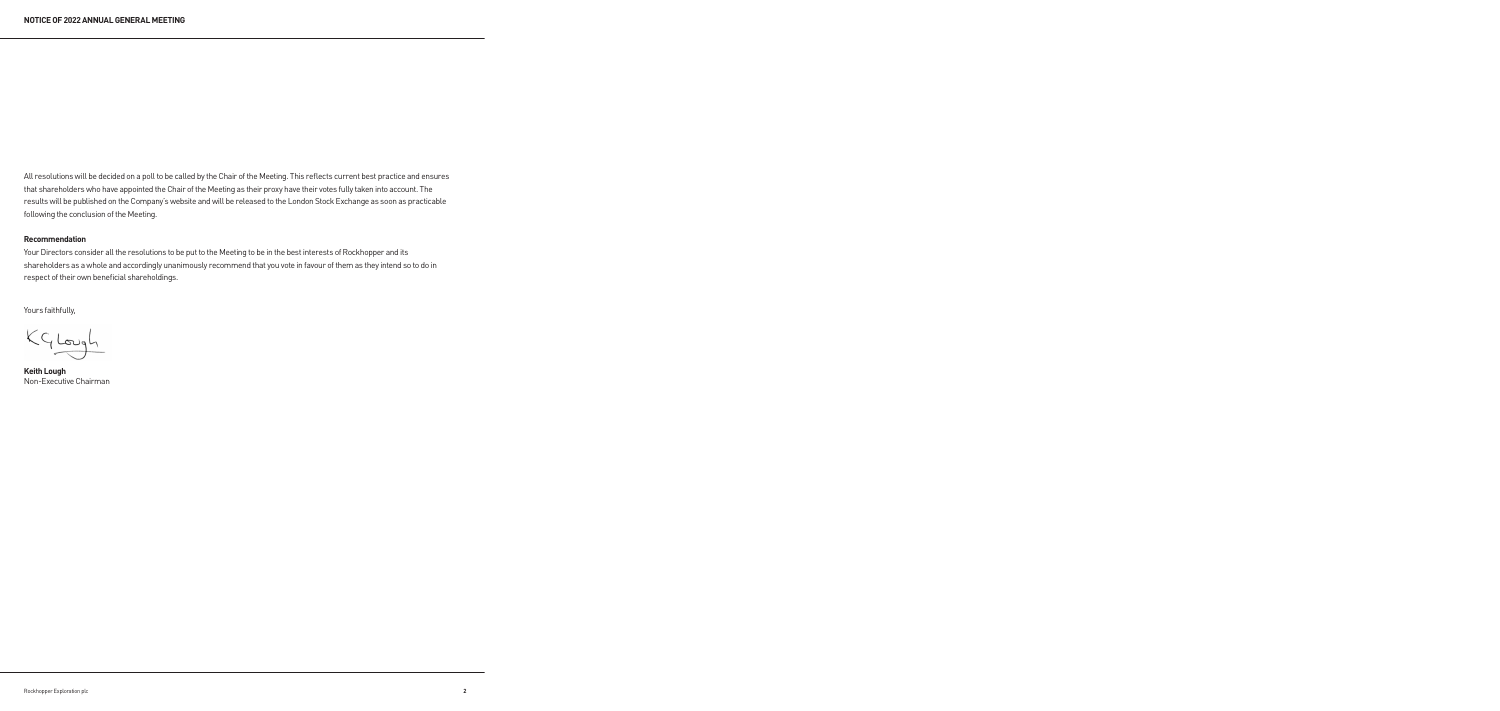All resolutions will be decided on a poll to be called by the Chair of the Meeting. This reflects current best practice and ensures that shareholders who have appointed the Chair of the Meeting as their proxy have their votes fully taken into account. The results will be published on the Company's website and will be released to the London Stock Exchange as soon as practicable following the conclusion of the Meeting.

# **Recommendation**

Your Directors consider all the resolutions to be put to the Meeting to be in the best interests of Rockhopper and its shareholders as a whole and accordingly unanimously recommend that you vote in favour of them as they intend so to do in respect of their own beneficial shareholdings.

Yours faithfully,

KGLough

**Keith Lough** Non-Executive Chairman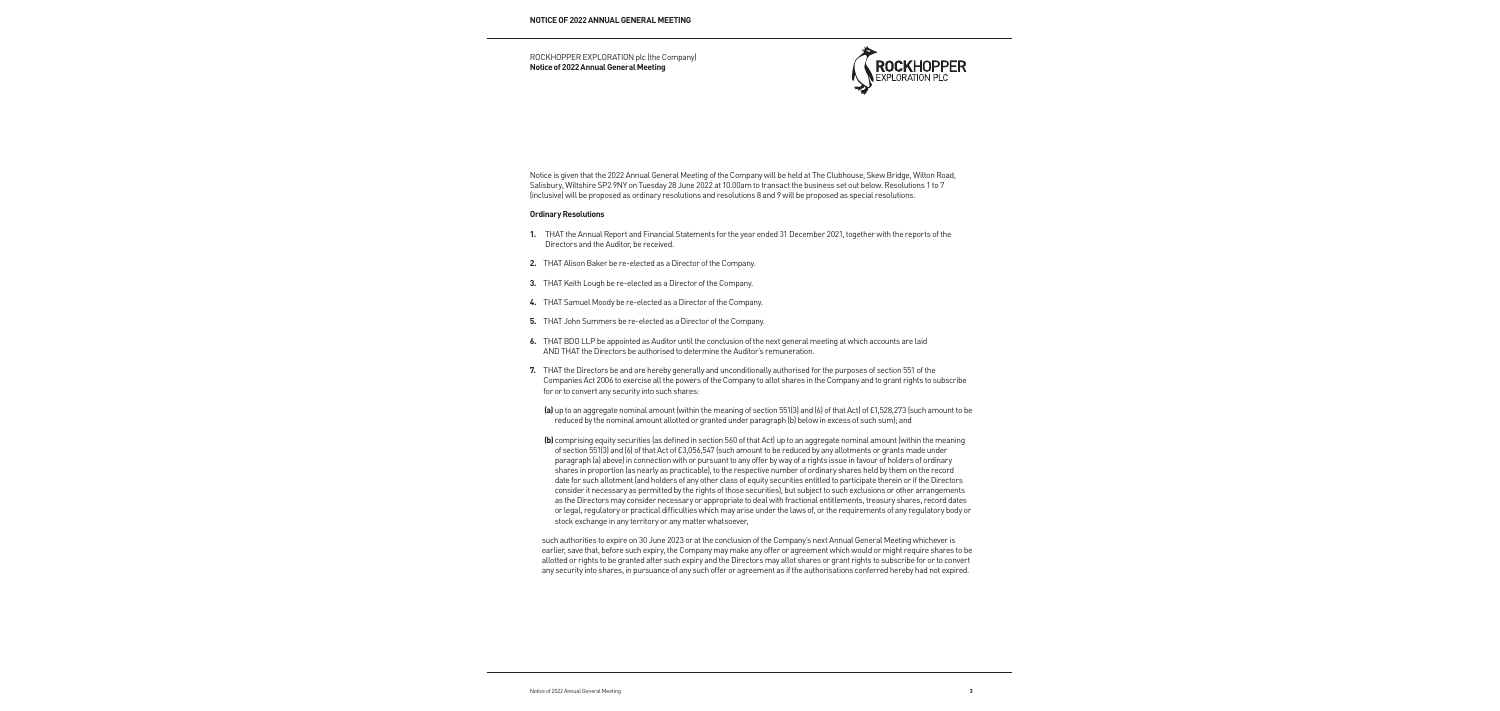ROCKHOPPER EXPLORATION plc (the Company) **Notice of 2022 Annual General Meeting**



Notice is given that the 2022 Annual General Meeting of the Company will be held at The Clubhouse, Skew Bridge, Wilton Road, Salisbury, Wiltshire SP2 9NY on Tuesday 28 June 2022 at 10.00am to transact the business set out below. Resolutions 1 to 7 (inclusive) will be proposed as ordinary resolutions and resolutions 8 and 9 will be proposed as special resolutions.

### **Ordinary Resolutions**

- **1.** THAT the Annual Report and Financial Statements for the year ended 31 December 2021, together with the reports of the Directors and the Auditor, be received.
- **2.** THAT Alison Baker be re-elected as a Director of the Company.
- **3.** THAT Keith Lough be re-elected as a Director of the Company.
- **4.** THAT Samuel Moody be re-elected as a Director of the Company.
- **5.** THAT John Summers be re-elected as a Director of the Company.
- **6.** THAT BDO LLP be appointed as Auditor until the conclusion of the next general meeting at which accounts are laid AND THAT the Directors be authorised to determine the Auditor's remuneration.
- **7.** THAT the Directors be and are hereby generally and unconditionally authorised for the purposes of section 551 of the Companies Act 2006 to exercise all the powers of the Company to allot shares in the Company and to grant rights to subscribe for or to convert any security into such shares:
	- **(a)** up to an aggregate nominal amount (within the meaning of section 551(3) and (6) of that Act) of £1,528,273 (such amount to be reduced by the nominal amount allotted or granted under paragraph (b) below in excess of such sum); and
	- **(b)** comprising equity securities (as defined in section 560 of that Act) up to an aggregate nominal amount (within the meaning of section 551(3) and (6) of that Act of £3,056,547 (such amount to be reduced by any allotments or grants made under paragraph (a) above) in connection with or pursuant to any offer by way of a rights issue in favour of holders of ordinary shares in proportion (as nearly as practicable), to the respective number of ordinary shares held by them on the record date for such allotment (and holders of any other class of equity securities entitled to participate therein or if the Directors consider it necessary as permitted by the rights of those securities), but subject to such exclusions or other arrangements as the Directors may consider necessary or appropriate to deal with fractional entitlements, treasury shares, record dates or legal, regulatory or practical difficulties which may arise under the laws of, or the requirements of any regulatory body or stock exchange in any territory or any matter whatsoever,

such authorities to expire on 30 June 2023 or at the conclusion of the Company's next Annual General Meeting whichever is earlier, save that, before such expiry, the Company may make any offer or agreement which would or might require shares to be allotted or rights to be granted after such expiry and the Directors may allot shares or grant rights to subscribe for or to convert any security into shares, in pursuance of any such offer or agreement as if the authorisations conferred hereby had not expired.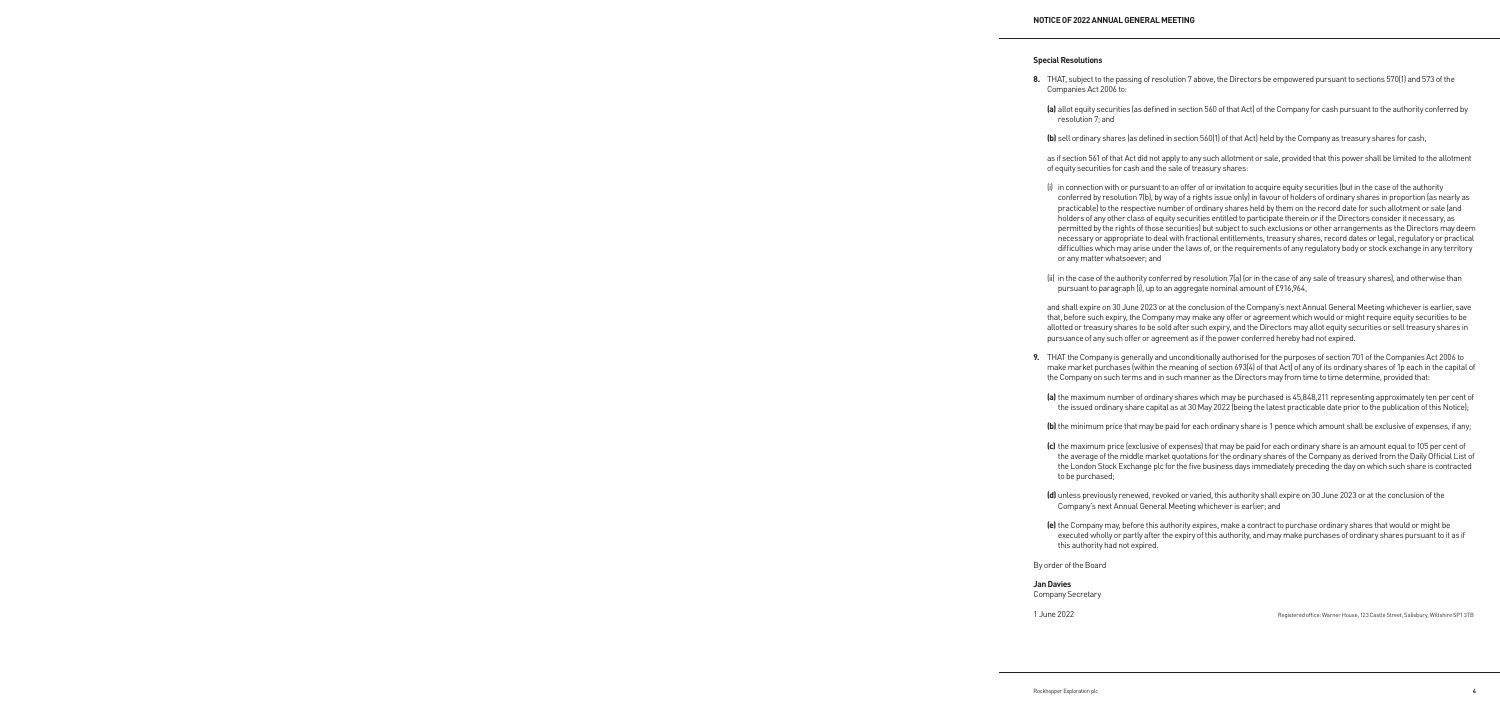## **Special Resolutions**

- **8.** THAT, subject to the passing of resolution 7 above, the Directors be empowered pursuant to sections 570(1) and 573 of the Companies Act 2006 to:
	- **(a)** allot equity securities (as defined in section 560 of that Act) of the Company for cash pursuant to the authority conferred by resolution 7; and
	- **(b)** sell ordinary shares (as defined in section 560(1) of that Act) held by the Company as treasury shares for cash,

 as if section 561 of that Act did not apply to any such allotment or sale, provided that this power shall be limited to the allotment of equity securities for cash and the sale of treasury shares:

- (i) in connection with or pursuant to an offer of or invitation to acquire equity securities (but in the case of the authority conferred by resolution 7(b), by way of a rights issue only) in favour of holders of ordinary shares in proportion (as nearly as practicable) to the respective number of ordinary shares held by them on the record date for such allotment or sale (and holders of any other class of equity securities entitled to participate therein or if the Directors consider it necessary, as permitted by the rights of those securities) but subject to such exclusions or other arrangements as the Directors may deem necessary or appropriate to deal with fractional entitlements, treasury shares, record dates or legal, regulatory or practical difficulties which may arise under the laws of, or the requirements of any regulatory body or stock exchange in any territory or any matter whatsoever; and
- (ii) in the case of the authority conferred by resolution 7(a) (or in the case of any sale of treasury shares), and otherwise than pursuant to paragraph (i), up to an aggregate nominal amount of £916,964,

 and shall expire on 30 June 2023 or at the conclusion of the Company's next Annual General Meeting whichever is earlier, save that, before such expiry, the Company may make any offer or agreement which would or might require equity securities to be allotted or treasury shares to be sold after such expiry, and the Directors may allot equity securities or sell treasury shares in pursuance of any such offer or agreement as if the power conferred hereby had not expired.

- **9.** THAT the Company is generally and unconditionally authorised for the purposes of section 701 of the Companies Act 2006 to make market purchases (within the meaning of section 693(4) of that Act) of any of its ordinary shares of 1p each in the capital of the Company on such terms and in such manner as the Directors may from time to time determine, provided that:
	- **(a)** the maximum number of ordinary shares which may be purchased is 45,848,211 representing approximately ten per cent of the issued ordinary share capital as at 30 May 2022 (being the latest practicable date prior to the publication of this Notice);
	- **(b)** the minimum price that may be paid for each ordinary share is 1 pence which amount shall be exclusive of expenses, if any;
	- **(c)** the maximum price (exclusive of expenses) that may be paid for each ordinary share is an amount equal to 105 per cent of the average of the middle market quotations for the ordinary shares of the Company as derived from the Daily Official List of the London Stock Exchange plc for the five business days immediately preceding the day on which such share is contracted to be purchased;
	- **(d)** unless previously renewed, revoked or varied, this authority shall expire on 30 June 2023 or at the conclusion of the Company's next Annual General Meeting whichever is earlier; and
	- **(e)** the Company may, before this authority expires, make a contract to purchase ordinary shares that would or might be executed wholly or partly after the expiry of this authority, and may make purchases of ordinary shares pursuant to it as if this authority had not expired.

By order of the Board

**Jan Davies** Company Secretary

1 June 2022 Registered office: Warner House, 123 Castle Street, Salisbury, Wiltshire SP1 3TB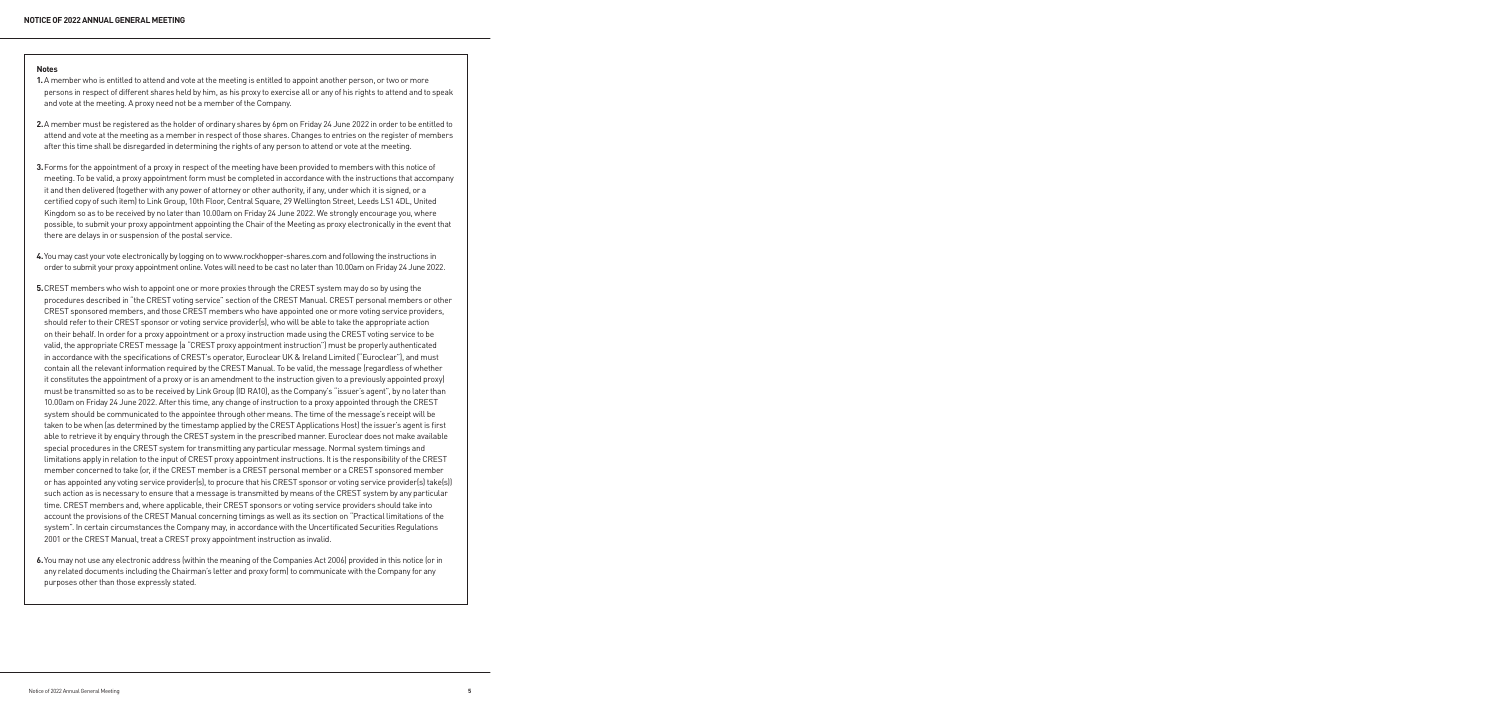### **Notes**

- **1.** A member who is entitled to attend and vote at the meeting is entitled to appoint another person, or two or more persons in respect of different shares held by him, as his proxy to exercise all or any of his rights to attend and to speak and vote at the meeting. A proxy need not be a member of the Company.
- **2.** A member must be registered as the holder of ordinary shares by 6pm on Friday 24 June 2022 in order to be entitled to attend and vote at the meeting as a member in respect of those shares. Changes to entries on the register of members after this time shall be disregarded in determining the rights of any person to attend or vote at the meeting.
- **3.** Forms for the appointment of a proxy in respect of the meeting have been provided to members with this notice of meeting. To be valid, a proxy appointment form must be completed in accordance with the instructions that accompany it and then delivered (together with any power of attorney or other authority, if any, under which it is signed, or a certified copy of such item) to Link Group, 10th Floor, Central Square, 29 Wellington Street, Leeds LS1 4DL, United Kingdom so as to be received by no later than 10.00am on Friday 24 June 2022. We strongly encourage you, where possible, to submit your proxy appointment appointing the Chair of the Meeting as proxy electronically in the event that there are delays in or suspension of the postal service.
- **4.** You may cast your vote electronically by logging on to www.rockhopper-shares.com and following the instructions in order to submit your proxy appointment online. Votes will need to be cast no later than 10.00am on Friday 24 June 2022.
- **5.** CREST members who wish to appoint one or more proxies through the CREST system may do so by using the procedures described in "the CREST voting service" section of the CREST Manual. CREST personal members or other CREST sponsored members, and those CREST members who have appointed one or more voting service providers, should refer to their CREST sponsor or voting service provider(s), who will be able to take the appropriate action on their behalf. In order for a proxy appointment or a proxy instruction made using the CREST voting service to be valid, the appropriate CREST message (a "CREST proxy appointment instruction") must be properly authenticated in accordance with the specifications of CREST's operator, Euroclear UK & Ireland Limited ("Euroclear"), and must contain all the relevant information required by the CREST Manual. To be valid, the message (regardless of whether it constitutes the appointment of a proxy or is an amendment to the instruction given to a previously appointed proxy) must be transmitted so as to be received by Link Group (ID RA10), as the Company's "issuer's agent", by no later than 10.00am on Friday 24 June 2022. After this time, any change of instruction to a proxy appointed through the CREST system should be communicated to the appointee through other means. The time of the message's receipt will be taken to be when (as determined by the timestamp applied by the CREST Applications Host) the issuer's agent is first able to retrieve it by enquiry through the CREST system in the prescribed manner. Euroclear does not make available special procedures in the CREST system for transmitting any particular message. Normal system timings and limitations apply in relation to the input of CREST proxy appointment instructions. It is the responsibility of the CREST member concerned to take (or, if the CREST member is a CREST personal member or a CREST sponsored member or has appointed any voting service provider(s), to procure that his CREST sponsor or voting service provider(s) take(s)) such action as is necessary to ensure that a message is transmitted by means of the CREST system by any particular time. CREST members and, where applicable, their CREST sponsors or voting service providers should take into account the provisions of the CREST Manual concerning timings as well as its section on "Practical limitations of the system". In certain circumstances the Company may, in accordance with the Uncertificated Securities Regulations 2001 or the CREST Manual, treat a CREST proxy appointment instruction as invalid.
- **6.** You may not use any electronic address (within the meaning of the Companies Act 2006) provided in this notice (or in any related documents including the Chairman's letter and proxy form) to communicate with the Company for any purposes other than those expressly stated.